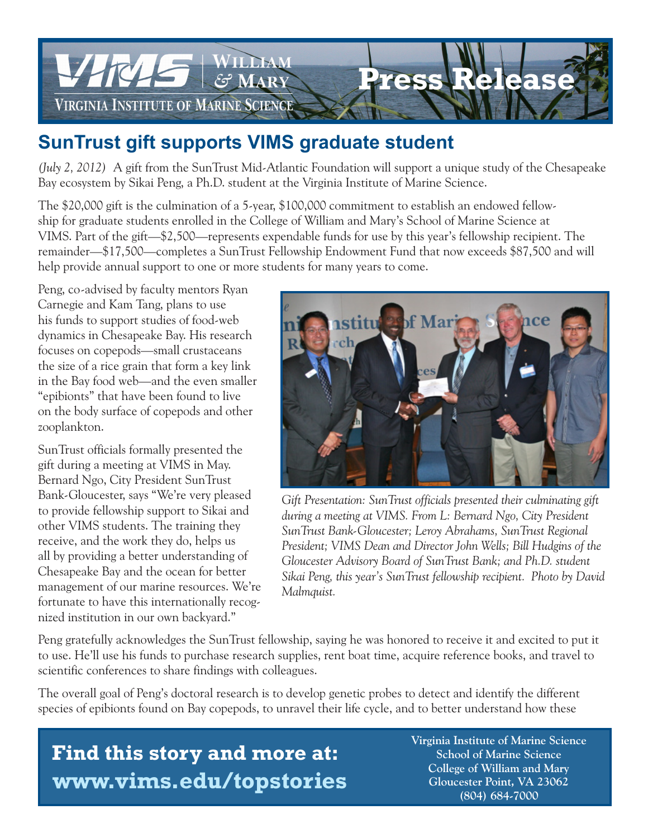

## **SunTrust gift supports VIMS graduate student**

*(July 2, 2012)* A gift from the SunTrust Mid-Atlantic Foundation will support a unique study of the Chesapeake Bay ecosystem by Sikai Peng, a Ph.D. student at the Virginia Institute of Marine Science.

The \$20,000 gift is the culmination of a 5-year, \$100,000 commitment to establish an endowed fellowship for graduate students enrolled in the College of William and Mary's School of Marine Science at VIMS. Part of the gift—\$2,500—represents expendable funds for use by this year's fellowship recipient. The remainder—\$17,500—completes a SunTrust Fellowship Endowment Fund that now exceeds \$87,500 and will help provide annual support to one or more students for many years to come.

Peng, co-advised by faculty mentors Ryan Carnegie and Kam Tang, plans to use his funds to support studies of food-web dynamics in Chesapeake Bay. His research focuses on copepods—small crustaceans the size of a rice grain that form a key link in the Bay food web—and the even smaller "epibionts" that have been found to live on the body surface of copepods and other zooplankton.

SunTrust officials formally presented the gift during a meeting at VIMS in May. Bernard Ngo, City President SunTrust Bank-Gloucester, says "We're very pleased to provide fellowship support to Sikai and other VIMS students. The training they receive, and the work they do, helps us all by providing a better understanding of Chesapeake Bay and the ocean for better management of our marine resources. We're fortunate to have this internationally recognized institution in our own backyard."



*Gift Presentation: SunTrust officials presented their culminating gift during a meeting at VIMS. From L: Bernard Ngo, City President SunTrust Bank-Gloucester; Leroy Abrahams, SunTrust Regional President; VIMS Dean and Director John Wells; Bill Hudgins of the Gloucester Advisory Board of SunTrust Bank; and Ph.D. student Sikai Peng, this year's SunTrust fellowship recipient. Photo by David Malmquist.*

Peng gratefully acknowledges the SunTrust fellowship, saying he was honored to receive it and excited to put it to use. He'll use his funds to purchase research supplies, rent boat time, acquire reference books, and travel to scientific conferences to share findings with colleagues.

The overall goal of Peng's doctoral research is to develop genetic probes to detect and identify the different species of epibionts found on Bay copepods, to unravel their life cycle, and to better understand how these

## **Find this story and more at: www.vims.edu/topstories**

 **Virginia Institute of Marine Science School of Marine Science College of William and Mary Gloucester Point, VA 23062 (804) 684-7000**